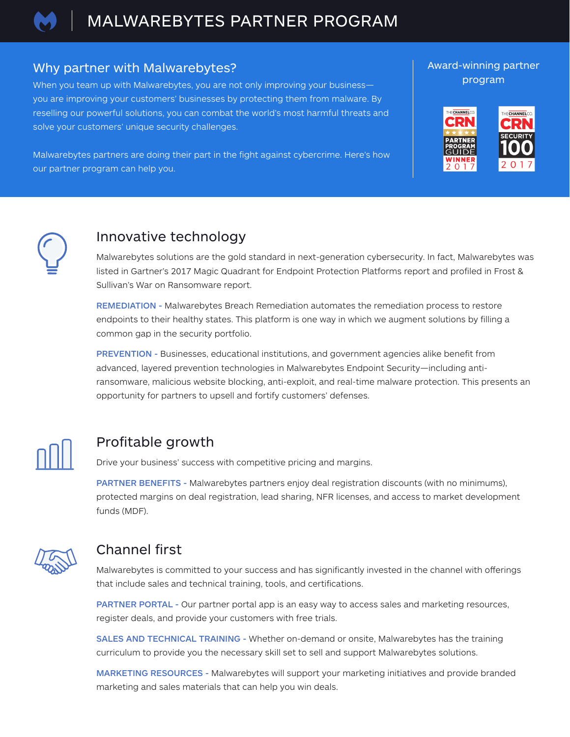

#### Why partner with Malwarebytes?

When you team up with Malwarebytes, you are not only improving your business you are improving your customers' businesses by protecting them from malware. By reselling our powerful solutions, you can combat the world's most harmful threats and solve your customers' unique security challenges.

Malwarebytes partners are doing their part in the fight against cybercrime. Here's how our partner program can help you.

#### Award-winning partner program





### Innovative technology

Malwarebytes solutions are the gold standard in next-generation cybersecurity. In fact, Malwarebytes was listed in Gartner's 2017 Magic Quadrant for Endpoint Protection Platforms report and profiled in Frost & Sullivan's War on Ransomware report.

REMEDIATION - Malwarebytes Breach Remediation automates the remediation process to restore endpoints to their healthy states. This platform is one way in which we augment solutions by filling a common gap in the security portfolio.

PREVENTION - Businesses, educational institutions, and government agencies alike benefit from advanced, layered prevention technologies in Malwarebytes Endpoint Security—including antiransomware, malicious website blocking, anti-exploit, and real-time malware protection. This presents an opportunity for partners to upsell and fortify customers' defenses.



# Profitable growth

Drive your business' success with competitive pricing and margins.

PARTNER BENEFITS - Malwarebytes partners enjoy deal registration discounts (with no minimums), protected margins on deal registration, lead sharing, NFR licenses, and access to market development funds (MDF).



# Channel first

Malwarebytes is committed to your success and has significantly invested in the channel with offerings that include sales and technical training, tools, and certifications.

PARTNER PORTAL - Our partner portal app is an easy way to access sales and marketing resources, register deals, and provide your customers with free trials.

SALES AND TECHNICAL TRAINING - Whether on-demand or onsite, Malwarebytes has the training curriculum to provide you the necessary skill set to sell and support Malwarebytes solutions.

MARKETING RESOURCES - Malwarebytes will support your marketing initiatives and provide branded marketing and sales materials that can help you win deals.